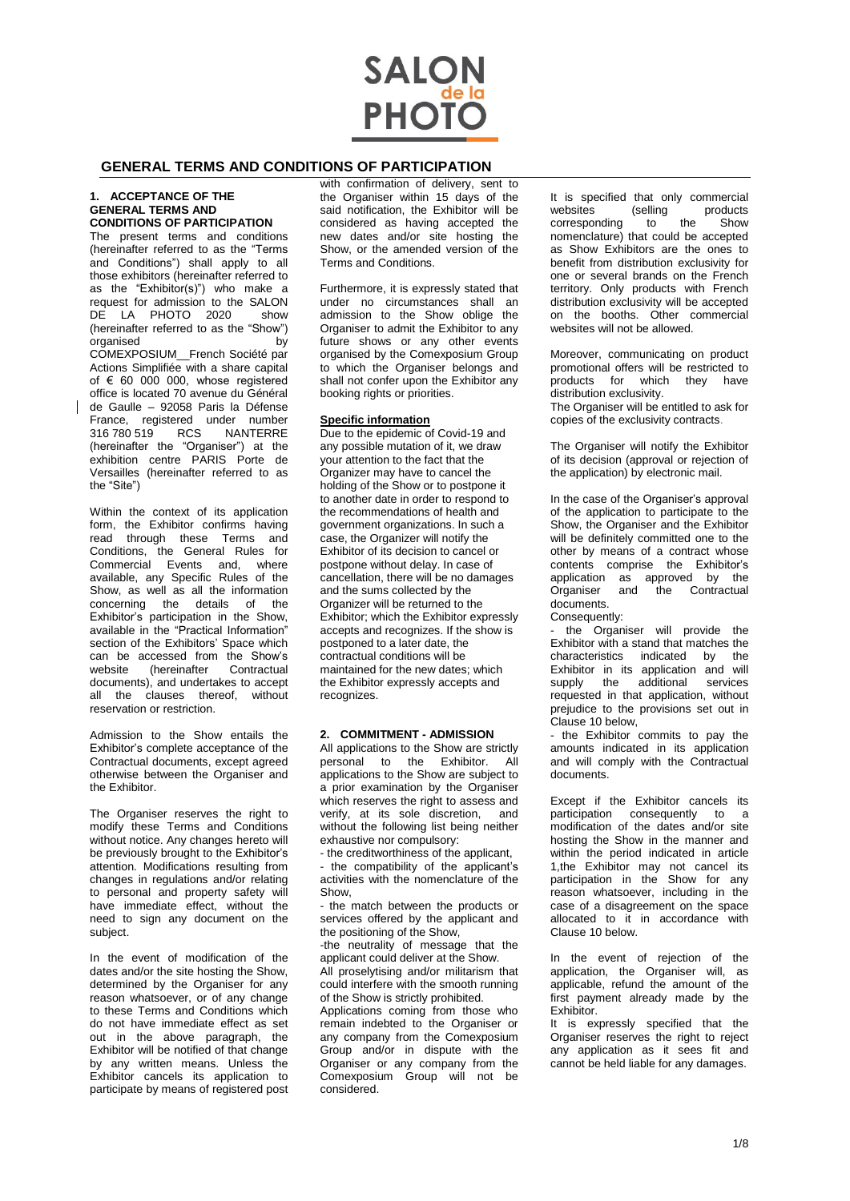

# **GENERAL TERMS AND CONDITIONS OF PARTICIPATION**

#### **1. ACCEPTANCE OF THE GENERAL TERMS AND CONDITIONS OF PARTICIPATION**

The present terms and conditions (hereinafter referred to as the "Terms and Conditions") shall apply to all those exhibitors (hereinafter referred to as the "Exhibitor(s)") who make a request for admission to the SALON DE LA PHOTO 2020 show (hereinafter referred to as the "Show") organised by COMEXPOSIUM\_\_French Société par Actions Simplifiée with a share capital of  $\epsilon$  60 000 000, whose registered office is located 70 avenue du Général de Gaulle – 92058 Paris la Défense France, registered under number<br>316 780 519 RCS NANTERRE  $316\,780\,519$ (hereinafter the "Organiser") at the exhibition centre PARIS Porte de Versailles (hereinafter referred to as the "Site")

Within the context of its application form, the Exhibitor confirms having read through these Terms and Conditions, the General Rules for Commercial Events and, where available, any Specific Rules of the Show, as well as all the information concerning the details of the Exhibitor's participation in the Show, available in the "Practical Information" section of the Exhibitors' Space which can be accessed from the Show's<br>website (hereinafter Contractual (hereinafter Contractual documents), and undertakes to accept all the clauses thereof, without reservation or restriction.

Admission to the Show entails the Exhibitor's complete acceptance of the Contractual documents, except agreed otherwise between the Organiser and the Exhibitor.

The Organiser reserves the right to modify these Terms and Conditions without notice. Any changes hereto will be previously brought to the Exhibitor's attention. Modifications resulting from changes in regulations and/or relating to personal and property safety will have immediate effect, without the need to sign any document on the subject.

In the event of modification of the dates and/or the site hosting the Show, determined by the Organiser for any reason whatsoever, or of any change to these Terms and Conditions which do not have immediate effect as set out in the above paragraph, the Exhibitor will be notified of that change by any written means. Unless the Exhibitor cancels its application to participate by means of registered post

with confirmation of delivery, sent to the Organiser within 15 days of the said notification, the Exhibitor will be considered as having accepted the new dates and/or site hosting the Show, or the amended version of the Terms and Conditions.

Furthermore, it is expressly stated that under no circumstances shall an admission to the Show oblige the Organiser to admit the Exhibitor to any future shows or any other events organised by the Comexposium Group to which the Organiser belongs and shall not confer upon the Exhibitor any booking rights or priorities.

#### **Specific information**

Due to the epidemic of Covid-19 and any possible mutation of it, we draw your attention to the fact that the Organizer may have to cancel the holding of the Show or to postpone it to another date in order to respond to the recommendations of health and government organizations. In such a case, the Organizer will notify the Exhibitor of its decision to cancel or postpone without delay. In case of cancellation, there will be no damages and the sums collected by the Organizer will be returned to the Exhibitor; which the Exhibitor expressly accepts and recognizes. If the show is postponed to a later date, the contractual conditions will be maintained for the new dates; which the Exhibitor expressly accepts and recognizes.

#### **2. COMMITMENT - ADMISSION**

All applications to the Show are strictly personal to the Exhibitor. All applications to the Show are subject to a prior examination by the Organiser which reserves the right to assess and verify, at its sole discretion, and without the following list being neither exhaustive nor compulsory:

- the creditworthiness of the applicant, - the compatibility of the applicant's activities with the nomenclature of the Show,

- the match between the products or services offered by the applicant and the positioning of the Show,

-the neutrality of message that the applicant could deliver at the Show.

All proselytising and/or militarism that could interfere with the smooth running of the Show is strictly prohibited.

Applications coming from those who remain indebted to the Organiser or any company from the Comexposium Group and/or in dispute with the Organiser or any company from the Comexposium Group will not be considered.

It is specified that only commercial<br>websites (selling products products corresponding to the Show nomenclature) that could be accepted as Show Exhibitors are the ones to benefit from distribution exclusivity for one or several brands on the French territory. Only products with French distribution exclusivity will be accepted on the booths. Other commercial websites will not be allowed.

Moreover, communicating on product promotional offers will be restricted to products for which they have distribution exclusivity. The Organiser will be entitled to ask for copies of the exclusivity contracts.

The Organiser will notify the Exhibitor of its decision (approval or rejection of the application) by electronic mail.

In the case of the Organiser's approval of the application to participate to the Show, the Organiser and the Exhibitor will be definitely committed one to the other by means of a contract whose contents comprise the Exhibitor's application as approved by the Organiser and the Contractual documents.

Consequently:

the Organiser will provide the Exhibitor with a stand that matches the characteristics indicated by the Exhibitor in its application and will<br>sunnly the additional services supply the additional services requested in that application, without prejudice to the provisions set out in Clause 10 below,

- the Exhibitor commits to pay the amounts indicated in its application and will comply with the Contractual documents.

Except if the Exhibitor cancels its participation consequently to a modification of the dates and/or site hosting the Show in the manner and within the period indicated in article 1,the Exhibitor may not cancel its participation in the Show for any reason whatsoever, including in the case of a disagreement on the space allocated to it in accordance with Clause 10 below.

In the event of rejection of the application, the Organiser will, as applicable, refund the amount of the first payment already made by the Exhibitor.

It is expressly specified that the Organiser reserves the right to reject any application as it sees fit and cannot be held liable for any damages.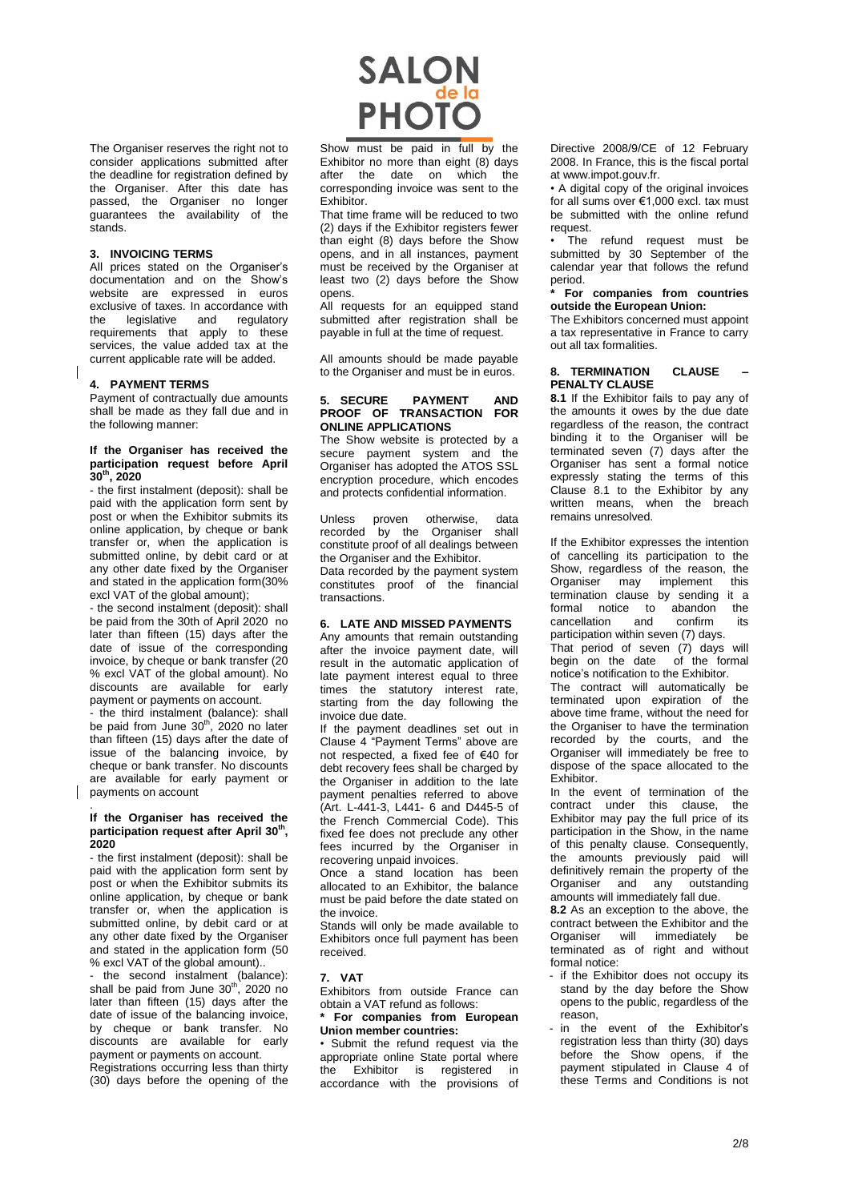The Organiser reserves the right not to consider applications submitted after the deadline for registration defined by the Organiser. After this date has passed, the Organiser no longer guarantees the availability of the stands.

#### **3. INVOICING TERMS**

All prices stated on the Organiser's documentation and on the Show's website are expressed in euros exclusive of taxes. In accordance with<br>the legislative and regulatory the legislative requirements that apply to these services, the value added tax at the current applicable rate will be added.

#### **4. PAYMENT TERMS**

Payment of contractually due amounts shall be made as they fall due and in the following manner:

#### **If the Organiser has received the participation request before April 30th, 2020**

- the first instalment (deposit): shall be paid with the application form sent by post or when the Exhibitor submits its online application, by cheque or bank transfer or, when the application is submitted online, by debit card or at any other date fixed by the Organiser and stated in the application form(30% excl VAT of the global amount);

- the second instalment (deposit): shall be paid from the 30th of April 2020 no later than fifteen (15) days after the date of issue of the corresponding invoice, by cheque or bank transfer (20 % excl VAT of the global amount). No discounts are available for early payment or payments on account.

- the third instalment (balance): shall<br>be paid from June 30<sup>th</sup>, 2020 no later than fifteen (15) days after the date of issue of the balancing invoice, by cheque or bank transfer. No discounts are available for early payment or payments on account

#### **If the Organiser has received the participation request after April 30th , 2020**

.

- the first instalment (deposit): shall be paid with the application form sent by post or when the Exhibitor submits its online application, by cheque or bank transfer or, when the application is submitted online, by debit card or at any other date fixed by the Organiser and stated in the application form (50 % excl VAT of the global amount)..

- the second instalment (balance):<br>shall be paid from June 30<sup>th</sup>, 2020 no later than fifteen (15) days after the date of issue of the balancing invoice, by cheque or bank transfer. No discounts are available for early payment or payments on account.

Registrations occurring less than thirty (30) days before the opening of the



Show must be paid in full by the Exhibitor no more than eight (8) days after the date on which the corresponding invoice was sent to the **Exhibitor** 

That time frame will be reduced to two (2) days if the Exhibitor registers fewer than eight (8) days before the Show opens, and in all instances, payment must be received by the Organiser at least two (2) days before the Show opens.

All requests for an equipped stand submitted after registration shall be payable in full at the time of request.

All amounts should be made payable to the Organiser and must be in euros.

#### **5. SECURE PAYMENT AND PROOF OF TRANSACTION FOR ONLINE APPLICATIONS**

The Show website is protected by a secure payment system and the Organiser has adopted the ATOS SSL encryption procedure, which encodes and protects confidential information.

Unless proven otherwise, data recorded by the Organiser shall constitute proof of all dealings between the Organiser and the Exhibitor Data recorded by the payment system constitutes proof of the financial transactions.

#### **6. LATE AND MISSED PAYMENTS**

Any amounts that remain outstanding after the invoice payment date, will result in the automatic application of late payment interest equal to three times the statutory interest rate, starting from the day following the invoice due date.

If the payment deadlines set out in Clause 4 "Payment Terms" above are not respected, a fixed fee of €40 for debt recovery fees shall be charged by the Organiser in addition to the late payment penalties referred to above (Art. L-441-3, L441- 6 and D445-5 of the French Commercial Code). This fixed fee does not preclude any other fees incurred by the Organiser in recovering unpaid invoices.

Once a stand location has been allocated to an Exhibitor, the balance must be paid before the date stated on the invoice.

Stands will only be made available to Exhibitors once full payment has been received.

#### **7. VAT**

Exhibitors from outside France can obtain a VAT refund as follows:

**\* For companies from European Union member countries:**

• Submit the refund request via the appropriate online State portal where the Exhibitor is registered in accordance with the provisions of

Directive 2008/9/CE of 12 February 2008. In France, this is the fiscal portal at www.impot.gouv.fr.

• A digital copy of the original invoices for all sums over €1,000 excl. tax must be submitted with the online refund request.

The refund request must be submitted by 30 September of the calendar year that follows the refund period.

#### **\* For companies from countries outside the European Union:**

The Exhibitors concerned must appoint a tax representative in France to carry out all tax formalities.

#### **8. TERMINATION CLAUSE – PENALTY CLAUSE**

**8.1** If the Exhibitor fails to pay any of the amounts it owes by the due date regardless of the reason, the contract binding it to the Organiser will be terminated seven (7) days after the Organiser has sent a formal notice expressly stating the terms of this Clause 8.1 to the Exhibitor by any written means, when the breach remains unresolved.

If the Exhibitor expresses the intention of cancelling its participation to the Show, regardless of the reason, the Organiser may implement this termination clause by sending it a formal notice to abandon the cancellation and confirm its participation within seven (7) days.

That period of seven (7) days will begin on the date of the formal notice's notification to the Exhibitor.

The contract will automatically be terminated upon expiration of the above time frame, without the need for the Organiser to have the termination recorded by the courts, and the Organiser will immediately be free to dispose of the space allocated to the **Exhibitor** 

In the event of termination of the contract under this clause, the Exhibitor may pay the full price of its participation in the Show, in the name of this penalty clause. Consequently, the amounts previously paid will definitively remain the property of the Organiser and any outstanding amounts will immediately fall due.

**8.2** As an exception to the above, the contract between the Exhibitor and the Organiser will immediately be terminated as of right and without formal notice:

- if the Exhibitor does not occupy its stand by the day before the Show opens to the public, regardless of the reason,
- in the event of the Exhibitor's registration less than thirty (30) days before the Show opens, if the payment stipulated in Clause 4 of these Terms and Conditions is not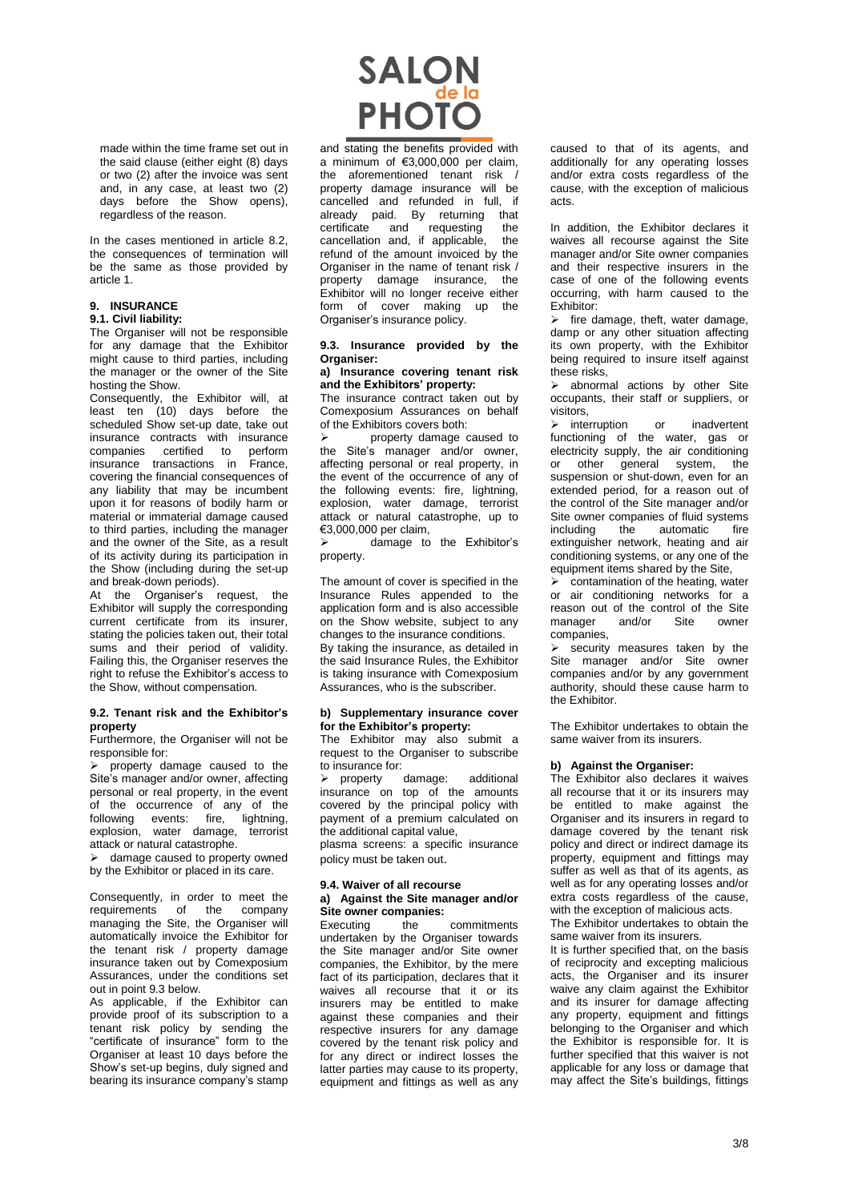made within the time frame set out in the said clause (either eight (8) days or two (2) after the invoice was sent and, in any case, at least two (2) days before the Show opens), regardless of the reason.

In the cases mentioned in article 8.2, the consequences of termination will be the same as those provided by article 1.

# **9. INSURANCE**

# **9.1. Civil liability:**

The Organiser will not be responsible for any damage that the Exhibitor might cause to third parties, including the manager or the owner of the Site hosting the Show.

Consequently, the Exhibitor will, at least ten (10) days before the scheduled Show set-up date, take out insurance contracts with insurance companies certified to perform insurance transactions in France, covering the financial consequences of any liability that may be incumbent upon it for reasons of bodily harm or material or immaterial damage caused to third parties, including the manager and the owner of the Site, as a result of its activity during its participation in the Show (including during the set-up and break-down periods).

At the Organiser's request, the Exhibitor will supply the corresponding current certificate from its insurer, stating the policies taken out, their total sums and their period of validity. Failing this, the Organiser reserves the right to refuse the Exhibitor's access to the Show, without compensation.

#### **9.2. Tenant risk and the Exhibitor's property**

Furthermore, the Organiser will not be responsible for:

 $\triangleright$  property damage caused to the Site's manager and/or owner, affecting personal or real property, in the event of the occurrence of any of the following events: fire, lightning, explosion, water damage, terrorist attack or natural catastrophe.

 $\triangleright$  damage caused to property owned by the Exhibitor or placed in its care.

Consequently, in order to meet the requirements of the company managing the Site, the Organiser will automatically invoice the Exhibitor for the tenant risk / property damage insurance taken out by Comexposium Assurances, under the conditions set out in point 9.3 below.

As applicable, if the Exhibitor can provide proof of its subscription to a tenant risk policy by sending the "certificate of insurance" form to the Organiser at least 10 days before the Show's set-up begins, duly signed and bearing its insurance company's stamp



and stating the benefits provided with a minimum of €3,000,000 per claim, the aforementioned tenant risk / property damage insurance will be cancelled and refunded in full, if already paid. By returning that certificate and requesting the<br>cancellation and if applicable the cancellation and, if applicable, refund of the amount invoiced by the Organiser in the name of tenant risk / property damage insurance, the Exhibitor will no longer receive either form of cover making up the Organiser's insurance policy.

#### **9.3. Insurance provided by the Organiser:**

#### **a) Insurance covering tenant risk and the Exhibitors' property:**

The insurance contract taken out by Comexposium Assurances on behalf of the Exhibitors covers both:

 property damage caused to the Site's manager and/or owner, affecting personal or real property, in the event of the occurrence of any of the following events: fire, lightning, explosion, water damage, terrorist attack or natural catastrophe, up to €3,000,000 per claim,

 damage to the Exhibitor's property.

The amount of cover is specified in the Insurance Rules appended to the application form and is also accessible on the Show website, subject to any changes to the insurance conditions. By taking the insurance, as detailed in the said Insurance Rules, the Exhibitor is taking insurance with Comexposium Assurances, who is the subscriber.

# **b) Supplementary insurance cover for the Exhibitor's property:**

The Exhibitor may also submit a request to the Organiser to subscribe to insurance for:<br>  $\triangleright$  property damage:

 property damage: additional insurance on top of the amounts covered by the principal policy with payment of a premium calculated on the additional capital value,

plasma screens: a specific insurance policy must be taken out.

#### **9.4. Waiver of all recourse a) Against the Site manager and/or Site owner companies:**

Executing the commitments undertaken by the Organiser towards the Site manager and/or Site owner companies, the Exhibitor, by the mere fact of its participation, declares that it waives all recourse that it or its insurers may be entitled to make against these companies and their respective insurers for any damage covered by the tenant risk policy and for any direct or indirect losses the latter parties may cause to its property, equipment and fittings as well as any caused to that of its agents, and additionally for any operating losses and/or extra costs regardless of the cause, with the exception of malicious acts.

In addition, the Exhibitor declares it waives all recourse against the Site manager and/or Site owner companies and their respective insurers in the case of one of the following events occurring, with harm caused to the Exhibitor:

 $\triangleright$  fire damage, theft, water damage, damp or any other situation affecting its own property, with the Exhibitor being required to insure itself against these risks,

 $\triangleright$  abnormal actions by other Site occupants, their staff or suppliers, or visitors,

> interruption or inadvertent functioning of the water, gas or electricity supply, the air conditioning or other general system, the suspension or shut-down, even for an extended period, for a reason out of the control of the Site manager and/or Site owner companies of fluid systems<br>including the automatic fire including the automatic fire extinguisher network, heating and air conditioning systems, or any one of the equipment items shared by the Site,

 $\triangleright$  contamination of the heating, water or air conditioning networks for a reason out of the control of the Site<br>manager and/or Site owner manager and/or Site owner companies,

 $\triangleright$  security measures taken by the Site manager and/or Site owner companies and/or by any government authority, should these cause harm to the Exhibitor.

The Exhibitor undertakes to obtain the same waiver from its insurers.

## **b) Against the Organiser:**

The Exhibitor also declares it waives all recourse that it or its insurers may be entitled to make against the Organiser and its insurers in regard to damage covered by the tenant risk policy and direct or indirect damage its property, equipment and fittings may suffer as well as that of its agents, as well as for any operating losses and/or extra costs regardless of the cause, with the exception of malicious acts. The Exhibitor undertakes to obtain the

same waiver from its insurers. It is further specified that, on the basis of reciprocity and excepting malicious acts, the Organiser and its insurer waive any claim against the Exhibitor and its insurer for damage affecting any property, equipment and fittings belonging to the Organiser and which the Exhibitor is responsible for. It is further specified that this waiver is not applicable for any loss or damage that may affect the Site's buildings, fittings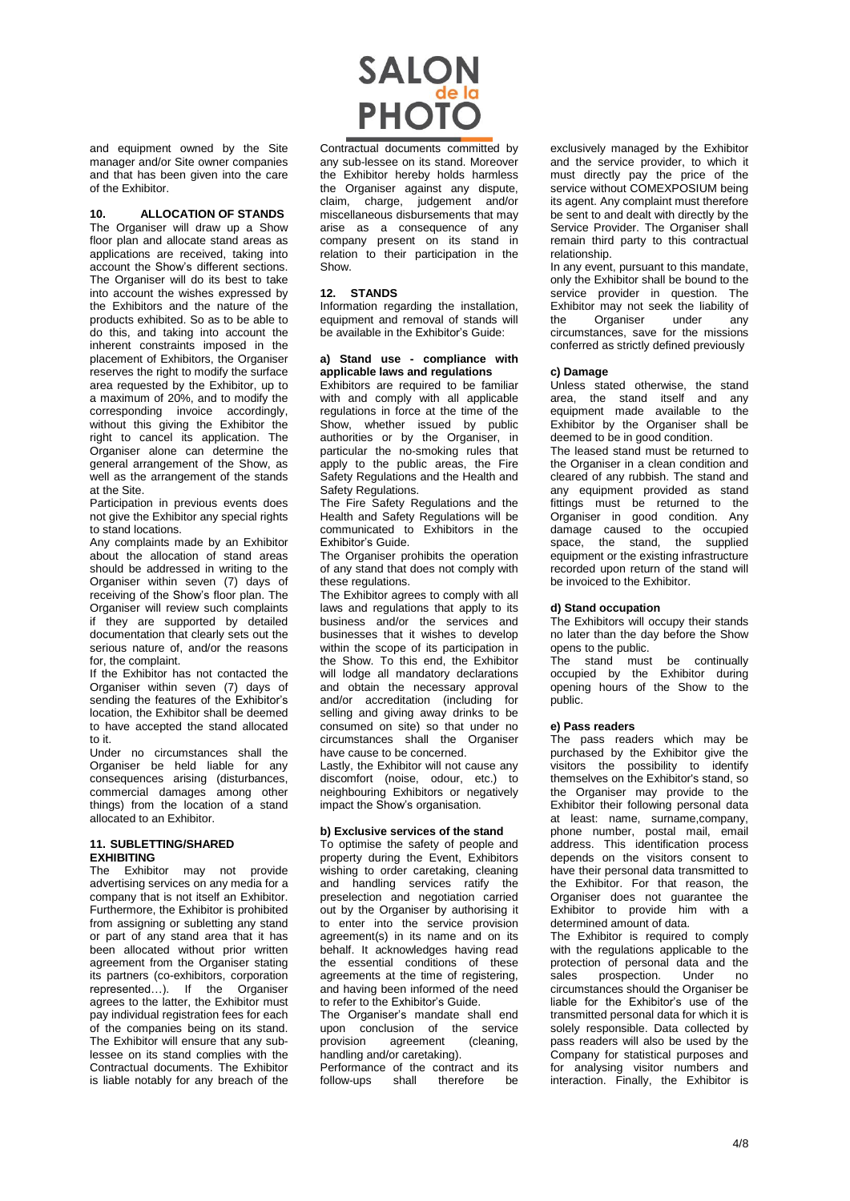and equipment owned by the Site manager and/or Site owner companies and that has been given into the care of the Exhibitor.

## **10. ALLOCATION OF STANDS**

The Organiser will draw up a Show floor plan and allocate stand areas as applications are received, taking into account the Show's different sections. The Organiser will do its best to take into account the wishes expressed by the Exhibitors and the nature of the products exhibited. So as to be able to do this, and taking into account the inherent constraints imposed in the placement of Exhibitors, the Organiser reserves the right to modify the surface area requested by the Exhibitor, up to a maximum of 20%, and to modify the corresponding invoice accordingly, without this giving the Exhibitor the right to cancel its application. The Organiser alone can determine the general arrangement of the Show, as well as the arrangement of the stands at the Site.

Participation in previous events does not give the Exhibitor any special rights to stand locations.

Any complaints made by an Exhibitor about the allocation of stand areas should be addressed in writing to the Organiser within seven (7) days of receiving of the Show's floor plan. The Organiser will review such complaints if they are supported by detailed documentation that clearly sets out the serious nature of, and/or the reasons for, the complaint.

If the Exhibitor has not contacted the Organiser within seven (7) days of sending the features of the Exhibitor's location, the Exhibitor shall be deemed to have accepted the stand allocated to it.

Under no circumstances shall the Organiser be held liable for any consequences arising (disturbances, commercial damages among other things) from the location of a stand allocated to an Exhibitor.

# **11. SUBLETTING/SHARED EXHIBITING**

The Exhibitor may not provide advertising services on any media for a company that is not itself an Exhibitor. Furthermore, the Exhibitor is prohibited from assigning or subletting any stand or part of any stand area that it has been allocated without prior written agreement from the Organiser stating its partners (co-exhibitors, corporation represented…). If the Organiser agrees to the latter, the Exhibitor must pay individual registration fees for each of the companies being on its stand. The Exhibitor will ensure that any sublessee on its stand complies with the Contractual documents. The Exhibitor is liable notably for any breach of the

# **SALON**<br>PHOTO

Contractual documents committed by any sub-lessee on its stand. Moreover the Exhibitor hereby holds harmless the Organiser against any dispute, claim, charge, judgement and/or miscellaneous disbursements that may arise as a consequence of any company present on its stand in relation to their participation in the Show.

# **12. STANDS**

Information regarding the installation, equipment and removal of stands will be available in the Exhibitor's Guide:

# **a) Stand use - compliance with applicable laws and regulations**

Exhibitors are required to be familiar with and comply with all applicable regulations in force at the time of the Show, whether issued by public authorities or by the Organiser, in particular the no-smoking rules that apply to the public areas, the Fire Safety Regulations and the Health and Safety Regulations.

The Fire Safety Regulations and the Health and Safety Regulations will be communicated to Exhibitors in the Exhibitor's Guide.

The Organiser prohibits the operation of any stand that does not comply with these regulations.

The Exhibitor agrees to comply with all laws and regulations that apply to its business and/or the services and businesses that it wishes to develop within the scope of its participation in the Show. To this end, the Exhibitor will lodge all mandatory declarations and obtain the necessary approval and/or accreditation (including for selling and giving away drinks to be consumed on site) so that under no circumstances shall the Organiser have cause to be concerned.

Lastly, the Exhibitor will not cause any discomfort (noise, odour, etc.) to neighbouring Exhibitors or negatively impact the Show's organisation.

## **b) Exclusive services of the stand**

To optimise the safety of people and property during the Event, Exhibitors wishing to order caretaking, cleaning and handling services ratify the preselection and negotiation carried out by the Organiser by authorising it to enter into the service provision agreement(s) in its name and on its behalf. It acknowledges having read the essential conditions of these agreements at the time of registering, and having been informed of the need to refer to the Exhibitor's Guide.

The Organiser's mandate shall end upon conclusion of the service<br>provision agreement (cleaning. agreement handling and/or caretaking).

Performance of the contract and its<br>follow-ups shall therefore be therefore be exclusively managed by the Exhibitor and the service provider, to which it must directly pay the price of the service without COMEXPOSIUM being its agent. Any complaint must therefore be sent to and dealt with directly by the Service Provider. The Organiser shall remain third party to this contractual relationship.

In any event, pursuant to this mandate, only the Exhibitor shall be bound to the service provider in question. The Exhibitor may not seek the liability of<br>the Organiser under any the Organiser under any circumstances, save for the missions conferred as strictly defined previously

# **c) Damage**

Unless stated otherwise, the stand area, the stand itself and any equipment made available to the Exhibitor by the Organiser shall be deemed to be in good condition.

The leased stand must be returned to the Organiser in a clean condition and cleared of any rubbish. The stand and any equipment provided as stand fittings must be returned to the Organiser in good condition. Any damage caused to the occupied space, the stand, the supplied equipment or the existing infrastructure recorded upon return of the stand will be invoiced to the Exhibitor.

# **d) Stand occupation**

The Exhibitors will occupy their stands no later than the day before the Show opens to the public.

The stand must be continually occupied by the Exhibitor during opening hours of the Show to the public

# **e) Pass readers**

The pass readers which may be purchased by the Exhibitor give the visitors the possibility to identify themselves on the Exhibitor's stand, so the Organiser may provide to the Exhibitor their following personal data at least: name, surname,company, phone number, postal mail, email address. This identification process depends on the visitors consent to have their personal data transmitted to the Exhibitor. For that reason, the Organiser does not guarantee the Exhibitor to provide him with a determined amount of data.

The Exhibitor is required to comply with the regulations applicable to the protection of personal data and the sales prospection. Under no circumstances should the Organiser be liable for the Exhibitor's use of the transmitted personal data for which it is solely responsible. Data collected by pass readers will also be used by the Company for statistical purposes and for analysing visitor numbers and interaction. Finally, the Exhibitor is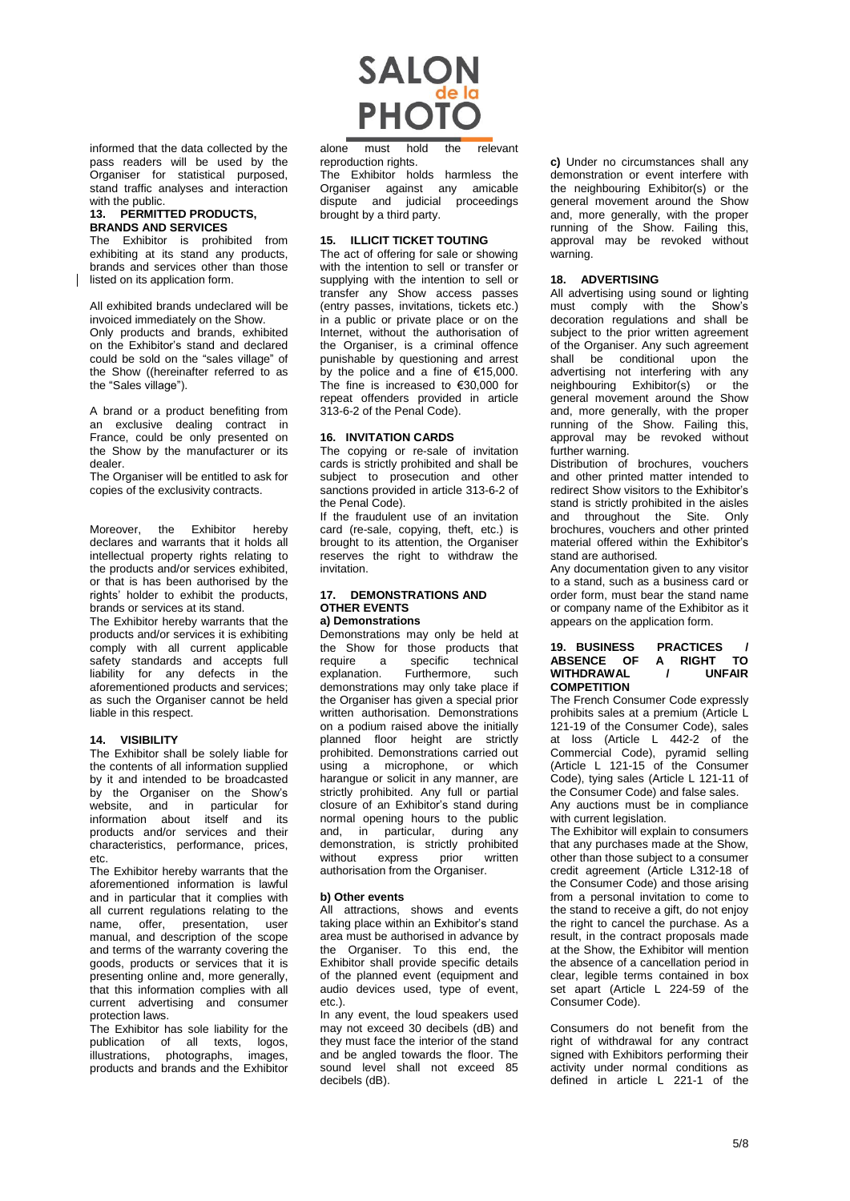informed that the data collected by the pass readers will be used by the Organiser for statistical purposed, stand traffic analyses and interaction with the public.

## **13. PERMITTED PRODUCTS, BRANDS AND SERVICES**

The Exhibitor is prohibited from exhibiting at its stand any products, brands and services other than those listed on its application form.

All exhibited brands undeclared will be invoiced immediately on the Show. Only products and brands, exhibited on the Exhibitor's stand and declared could be sold on the "sales village" of the Show ((hereinafter referred to as the "Sales village").

A brand or a product benefiting from an exclusive dealing contract in France, could be only presented on the Show by the manufacturer or its dealer.

The Organiser will be entitled to ask for copies of the exclusivity contracts.

Moreover, the Exhibitor hereby declares and warrants that it holds all intellectual property rights relating to the products and/or services exhibited, or that is has been authorised by the rights' holder to exhibit the products, brands or services at its stand.

The Exhibitor hereby warrants that the products and/or services it is exhibiting comply with all current applicable safety standards and accepts full liability for any defects in the aforementioned products and services; as such the Organiser cannot be held liable in this respect.

# **14. VISIBILITY**

The Exhibitor shall be solely liable for the contents of all information supplied by it and intended to be broadcasted by the Organiser on the Show's website, and in particular for information about itself and its products and/or services and their characteristics, performance, prices, etc.

The Exhibitor hereby warrants that the aforementioned information is lawful and in particular that it complies with all current regulations relating to the name, offer, presentation, user manual, and description of the scope and terms of the warranty covering the goods, products or services that it is presenting online and, more generally, that this information complies with all current advertising and consumer protection laws.

The Exhibitor has sole liability for the publication of all texts, logos, illustrations, photographs, images, products and brands and the Exhibitor



alone must hold the relevant reproduction rights.

The Exhibitor holds harmless the Organiser against any amicable dispute and judicial proceedings brought by a third party.

# **15. ILLICIT TICKET TOUTING**

The act of offering for sale or showing with the intention to sell or transfer or supplying with the intention to sell or transfer any Show access passes (entry passes, invitations, tickets etc.) in a public or private place or on the Internet, without the authorisation of the Organiser, is a criminal offence punishable by questioning and arrest by the police and a fine of €15,000. The fine is increased to €30,000 for repeat offenders provided in article 313-6-2 of the Penal Code).

# **16. INVITATION CARDS**

The copying or re-sale of invitation cards is strictly prohibited and shall be subject to prosecution and other sanctions provided in article 313-6-2 of the Penal Code).

If the fraudulent use of an invitation card (re-sale, copying, theft, etc.) is brought to its attention, the Organiser reserves the right to withdraw the invitation.

#### **17. DEMONSTRATIONS AND OTHER EVENTS a) Demonstrations**

Demonstrations may only be held at the Show for those products that<br>require a specific technical require a specific technical<br>explanation. Furthermore. such Furthermore. such demonstrations may only take place if the Organiser has given a special prior written authorisation. Demonstrations on a podium raised above the initially planned floor height are strictly prohibited. Demonstrations carried out using a microphone, or which harangue or solicit in any manner, are strictly prohibited. Any full or partial closure of an Exhibitor's stand during normal opening hours to the public and, in particular, during any demonstration, is strictly prohibited<br>without express prior written express prior authorisation from the Organiser.

## **b) Other events**

All attractions, shows and events taking place within an Exhibitor's stand area must be authorised in advance by the Organiser. To this end, the Exhibitor shall provide specific details of the planned event (equipment and audio devices used, type of event, etc.).

In any event, the loud speakers used may not exceed 30 decibels (dB) and they must face the interior of the stand and be angled towards the floor. The sound level shall not exceed 85 decibels (dB).

**c)** Under no circumstances shall any demonstration or event interfere with the neighbouring Exhibitor(s) or the general movement around the Show and, more generally, with the proper running of the Show. Failing this, approval may be revoked without warning.

# **18. ADVERTISING**

All advertising using sound or lighting must comply with the Show's decoration regulations and shall be subject to the prior written agreement of the Organiser. Any such agreement shall be conditional upon the advertising not interfering with any neighbouring Exhibitor(s) or the general movement around the Show and, more generally, with the proper running of the Show. Failing this, approval may be revoked without further warning.

Distribution of brochures, vouchers and other printed matter intended to redirect Show visitors to the Exhibitor's stand is strictly prohibited in the aisles and throughout the Site. Only brochures, vouchers and other printed material offered within the Exhibitor's stand are authorised.

Any documentation given to any visitor to a stand, such as a business card or order form, must bear the stand name or company name of the Exhibitor as it appears on the application form.

### **19. BUSINESS PRACTICES / ABSENCE OF A RIGHT TO**  $W$ *ITHDRAWAL* **COMPETITION**

The French Consumer Code expressly prohibits sales at a premium (Article L 121-19 of the Consumer Code), sales at loss (Article L 442-2 of the Commercial Code), pyramid selling (Article L 121-15 of the Consumer Code), tying sales (Article L 121-11 of the Consumer Code) and false sales.

Any auctions must be in compliance with current legislation.

The Exhibitor will explain to consumers that any purchases made at the Show, other than those subject to a consumer credit agreement (Article L312-18 of the Consumer Code) and those arising from a personal invitation to come to the stand to receive a gift, do not enjoy the right to cancel the purchase. As a result, in the contract proposals made at the Show, the Exhibitor will mention the absence of a cancellation period in clear, legible terms contained in box set apart (Article L 224-59 of the Consumer Code).

Consumers do not benefit from the right of withdrawal for any contract signed with Exhibitors performing their activity under normal conditions as defined in article L 221-1 of the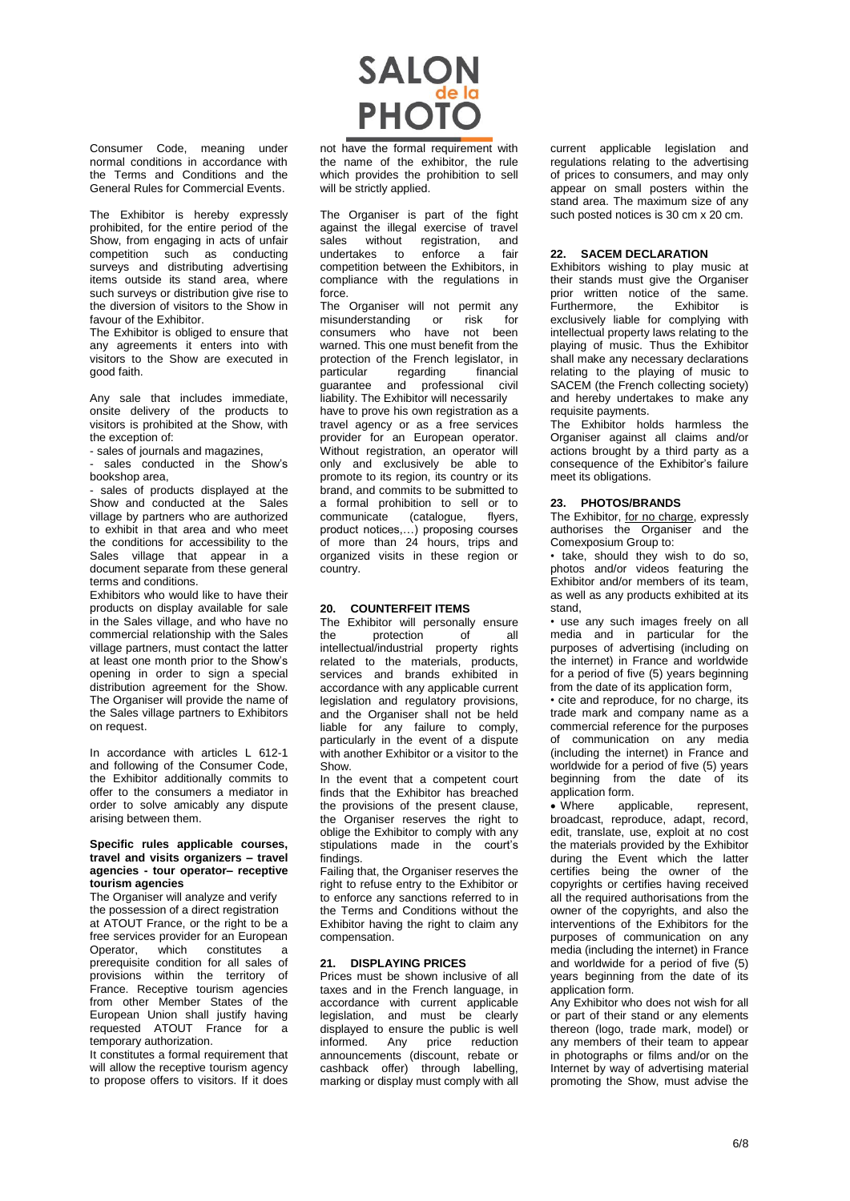

The Exhibitor is hereby expressly prohibited, for the entire period of the Show, from engaging in acts of unfair competition such as conducting surveys and distributing advertising items outside its stand area, where such surveys or distribution give rise to the diversion of visitors to the Show in favour of the Exhibitor.

The Exhibitor is obliged to ensure that any agreements it enters into with visitors to the Show are executed in good faith.

Any sale that includes immediate, onsite delivery of the products to visitors is prohibited at the Show, with the exception of:

- sales of journals and magazines,

sales conducted in the Show's bookshop area,

- sales of products displayed at the Show and conducted at the Sales village by partners who are authorized to exhibit in that area and who meet the conditions for accessibility to the Sales village that appear in a document separate from these general terms and conditions.

Exhibitors who would like to have their products on display available for sale in the Sales village, and who have no commercial relationship with the Sales village partners, must contact the latter at least one month prior to the Show's opening in order to sign a special distribution agreement for the Show. The Organiser will provide the name of the Sales village partners to Exhibitors on request.

In accordance with articles L 612-1 and following of the Consumer Code, the Exhibitor additionally commits to offer to the consumers a mediator in order to solve amicably any dispute arising between them.

#### **Specific rules applicable courses, travel and visits organizers – travel agencies - tour operator– receptive tourism agencies**

The Organiser will analyze and verify the possession of a direct registration at ATOUT France, or the right to be a free services provider for an European Operator, which constitutes a prerequisite condition for all sales of provisions within the territory of France. Receptive tourism agencies from other Member States of the European Union shall justify having requested ATOUT France for a temporary authorization.

It constitutes a formal requirement that will allow the receptive tourism agency to propose offers to visitors. If it does



not have the formal requirement with the name of the exhibitor, the rule which provides the prohibition to sell will be strictly applied.

The Organiser is part of the fight against the illegal exercise of travel sales without registration, and undertakes to enforce a fair competition between the Exhibitors, in compliance with the regulations in force.

The Organiser will not permit any<br>misunderstanding or risk for misunderstanding or risk for consumers who have not been warned. This one must benefit from the protection of the French legislator, in particular regarding inancial guarantee and professional civil liability. The Exhibitor will necessarily have to prove his own registration as a travel agency or as a free services provider for an European operator. Without registration, an operator will only and exclusively be able to promote to its region, its country or its brand, and commits to be submitted to a formal prohibition to sell or to communicate (catalogue, flyers, product notices,…) proposing courses of more than 24 hours, trips and organized visits in these region or country.

## **20. COUNTERFEIT ITEMS**

The Exhibitor will personally ensure the protection of all intellectual/industrial property rights related to the materials, products, services and brands exhibited in accordance with any applicable current legislation and regulatory provisions, and the Organiser shall not be held liable for any failure to comply, particularly in the event of a dispute with another Exhibitor or a visitor to the Show.

In the event that a competent court finds that the Exhibitor has breached the provisions of the present clause, the Organiser reserves the right to oblige the Exhibitor to comply with any stipulations made in the court's findings.

Failing that, the Organiser reserves the right to refuse entry to the Exhibitor or to enforce any sanctions referred to in the Terms and Conditions without the Exhibitor having the right to claim any compensation.

# **21. DISPLAYING PRICES**

Prices must be shown inclusive of all taxes and in the French language, in accordance with current applicable legislation, and must be clearly displayed to ensure the public is well<br>informed. Any price reduction informed. Any announcements (discount, rebate or cashback offer) through labelling, marking or display must comply with all current applicable legislation and regulations relating to the advertising of prices to consumers, and may only appear on small posters within the stand area. The maximum size of any such posted notices is 30 cm x 20 cm.

#### **22. SACEM DECLARATION**

Exhibitors wishing to play music at their stands must give the Organiser prior written notice of the same.<br>Furthermore. the Exhibitor is Furthermore, the Exhibitor is exclusively liable for complying with intellectual property laws relating to the playing of music. Thus the Exhibitor shall make any necessary declarations relating to the playing of music to SACEM (the French collecting society) and hereby undertakes to make any requisite payments.

The Exhibitor holds harmless the Organiser against all claims and/or actions brought by a third party as a consequence of the Exhibitor's failure meet its obligations.

#### **23. PHOTOS/BRANDS**

The Exhibitor, for no charge, expressly authorises the Organiser and the Comexposium Group to:

• take, should they wish to do so, photos and/or videos featuring the Exhibitor and/or members of its team. as well as any products exhibited at its stand,

• use any such images freely on all media and in particular for the purposes of advertising (including on the internet) in France and worldwide for a period of five (5) years beginning from the date of its application form,

• cite and reproduce, for no charge, its trade mark and company name as a commercial reference for the purposes of communication on any media (including the internet) in France and worldwide for a period of five (5) years beginning from the date of its application form.

 Where applicable, represent, broadcast, reproduce, adapt, record, edit, translate, use, exploit at no cost the materials provided by the Exhibitor during the Event which the latter certifies being the owner of the copyrights or certifies having received all the required authorisations from the owner of the copyrights, and also the interventions of the Exhibitors for the purposes of communication on any media (including the internet) in France and worldwide for a period of five (5) years beginning from the date of its application form.

Any Exhibitor who does not wish for all or part of their stand or any elements thereon (logo, trade mark, model) or any members of their team to appear in photographs or films and/or on the Internet by way of advertising material promoting the Show, must advise the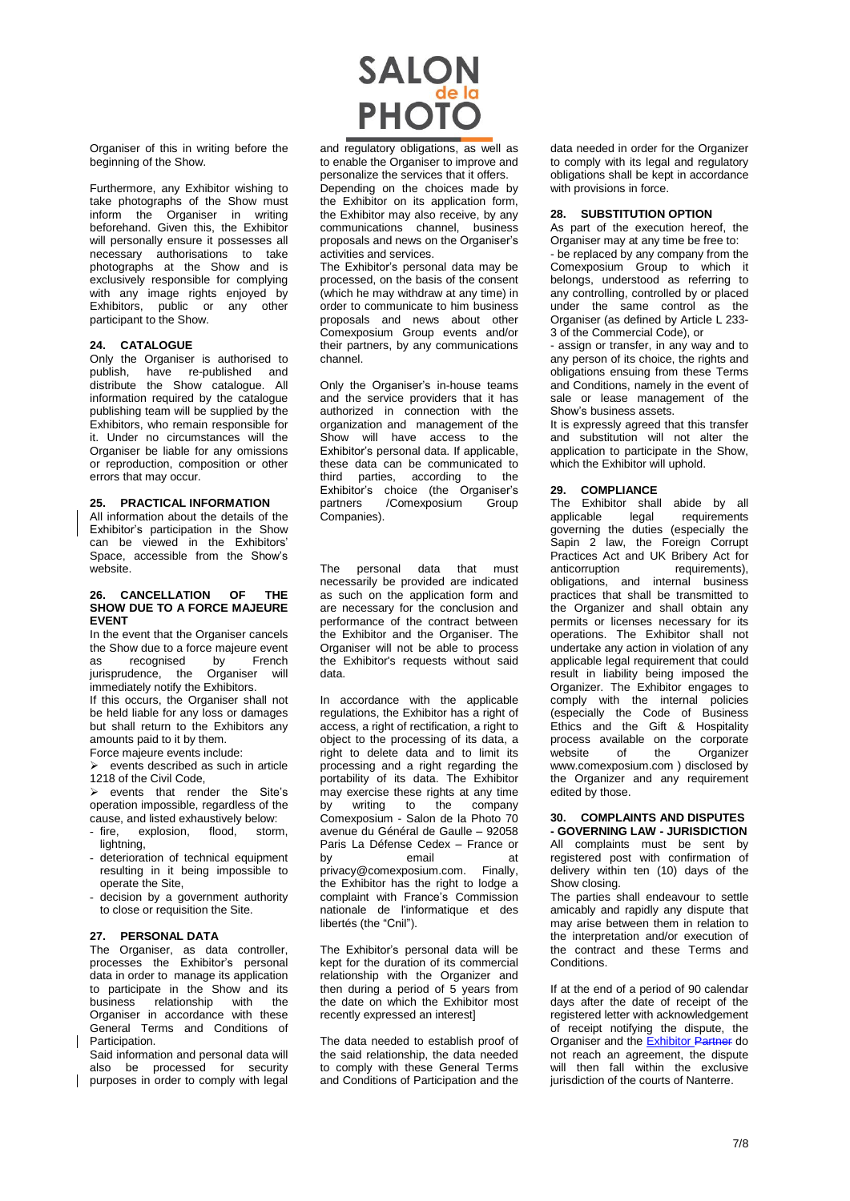# **SALON**<br>PHOTO

Organiser of this in writing before the beginning of the Show.

Furthermore, any Exhibitor wishing to take photographs of the Show must inform the Organiser in writing beforehand. Given this, the Exhibitor will personally ensure it possesses all necessary authorisations to take photographs at the Show and is exclusively responsible for complying with any image rights enjoyed by Exhibitors, public or any other participant to the Show.

# **24. CATALOGUE**

Only the Organiser is authorised to publish, have re-published and distribute the Show catalogue. All information required by the catalogue publishing team will be supplied by the Exhibitors, who remain responsible for it. Under no circumstances will the Organiser be liable for any omissions or reproduction, composition or other errors that may occur.

#### **25. PRACTICAL INFORMATION**

All information about the details of the Exhibitor's participation in the Show can be viewed in the Exhibitors' Space, accessible from the Show's website.

#### **26. CANCELLATION OF THE SHOW DUE TO A FORCE MAJEURE EVENT**

In the event that the Organiser cancels the Show due to a force majeure event<br>as recognised by French as recognised jurisprudence, the Organiser will immediately notify the Exhibitors.

If this occurs, the Organiser shall not be held liable for any loss or damages but shall return to the Exhibitors any amounts paid to it by them.

Force majeure events include:

 $\triangleright$  events described as such in article 1218 of the Civil Code,

 $\triangleright$  events that render the Site's operation impossible, regardless of the cause, and listed exhaustively below:

- fire, explosion, flood, storm, lightning.
- deterioration of technical equipment resulting in it being impossible to operate the Site,
- decision by a government authority to close or requisition the Site.

## **27. PERSONAL DATA**

The Organiser, as data controller, processes the Exhibitor's personal data in order to manage its application to participate in the Show and its business relationship with the Organiser in accordance with these General Terms and Conditions of Participation.

Said information and personal data will also be processed for security purposes in order to comply with legal

and regulatory obligations, as well as to enable the Organiser to improve and personalize the services that it offers. Depending on the choices made by the Exhibitor on its application form, the Exhibitor may also receive, by any communications channel, business proposals and news on the Organiser's activities and services.

The Exhibitor's personal data may be processed, on the basis of the consent (which he may withdraw at any time) in order to communicate to him business proposals and news about other Comexposium Group events and/or their partners, by any communications channel.

Only the Organiser's in-house teams and the service providers that it has authorized in connection with the organization and management of the Show will have access to the Exhibitor's personal data. If applicable, these data can be communicated to third parties, according to the Exhibitor's choice (the Organiser's partners /Comexposium Group Companies).

The personal data that must necessarily be provided are indicated as such on the application form and are necessary for the conclusion and performance of the contract between the Exhibitor and the Organiser. The Organiser will not be able to process the Exhibitor's requests without said data.

In accordance with the applicable regulations, the Exhibitor has a right of access, a right of rectification, a right to object to the processing of its data, a right to delete data and to limit its processing and a right regarding the portability of its data. The Exhibitor may exercise these rights at any time by writing to the company Comexposium - Salon de la Photo 70 avenue du Général de Gaulle – 92058 Paris La Défense Cedex – France or by **email** at privacy@comexposium.com. Finally, the Exhibitor has the right to lodge a complaint with France's Commission nationale de l'informatique et des libertés (the "Cnil").

The Exhibitor's personal data will be kept for the duration of its commercial relationship with the Organizer and then during a period of 5 years from the date on which the Exhibitor most recently expressed an interest]

The data needed to establish proof of the said relationship, the data needed to comply with these General Terms and Conditions of Participation and the

data needed in order for the Organizer to comply with its legal and regulatory obligations shall be kept in accordance with provisions in force.

# **28. SUBSTITUTION OPTION**

As part of the execution hereof, the Organiser may at any time be free to: - be replaced by any company from the Comexposium Group to which it belongs, understood as referring to any controlling, controlled by or placed under the same control as the Organiser (as defined by Article L 233- 3 of the Commercial Code), or

- assign or transfer, in any way and to any person of its choice, the rights and obligations ensuing from these Terms and Conditions, namely in the event of sale or lease management of the Show's business assets.

It is expressly agreed that this transfer and substitution will not alter the application to participate in the Show, which the Exhibitor will uphold.

# **29. COMPLIANCE**

The Exhibitor shall abide by all<br>applicable legal requirements applicable legal requirements governing the duties (especially the Sapin 2 law, the Foreign Corrupt Practices Act and UK Bribery Act for<br>anticorruption requirements). anticorruption requirements), obligations, and internal business practices that shall be transmitted to the Organizer and shall obtain any permits or licenses necessary for its operations. The Exhibitor shall not undertake any action in violation of any applicable legal requirement that could result in liability being imposed the Organizer. The Exhibitor engages to comply with the internal policies (especially the Code of Business Ethics and the Gift & Hospitality process available on the corporate website of the Organizer [www.comexposium.com](https://office365.eu.vadesecure.com/safeproxy/1/dmVyc2lvbjoyfG1lc3NhZ2VJRDpBQU1rQUdZME5qSmlaV1ZtTFRVeU1qY3ROR000T0MwNE1XWTBMVEUwTnpRMU9HUm1OalV4TXdCR0FBQUFBQUFxUjZhQUVIejZUN0lKM3ZBQkt1UVpCd0RLdjU1aVFuX0FRcG02M0pydnRUVTdBQUFBQUFFTUFBREt2NTVpUW5fQVFwbTYzSnJ2dFRVN0FBQVBGdzlYQUFBPXxlbWFpbEZyb206YXhlbGxlLnJlYnV0QGNvbWV4cG9zaXVtLmNvbXxlbWFpbFRvOm1vcmdhbmUuYmVyYW5nZXJAY29tZXhwb3NpdW0uY29tfGxvZ2luOmNiMWM1NDU4LWY0YTktNDlmNy05ZjBlLTM3M2Q3NGY4ODRlOHxjbGllbnRUeXBlOm9mZmljZQ==/www.comexposium.com) ) disclosed by the Organizer and any requirement edited by those.

# **30. COMPLAINTS AND DISPUTES - GOVERNING LAW - JURISDICTION**

All complaints must be sent by registered post with confirmation of delivery within ten (10) days of the Show closing.

The parties shall endeavour to settle amicably and rapidly any dispute that may arise between them in relation to the interpretation and/or execution of the contract and these Terms and **Conditions** 

If at the end of a period of 90 calendar days after the date of receipt of the registered letter with acknowledgement of receipt notifying the dispute, the Organiser and the Exhibitor Partner do not reach an agreement, the dispute will then fall within the exclusive jurisdiction of the courts of Nanterre.